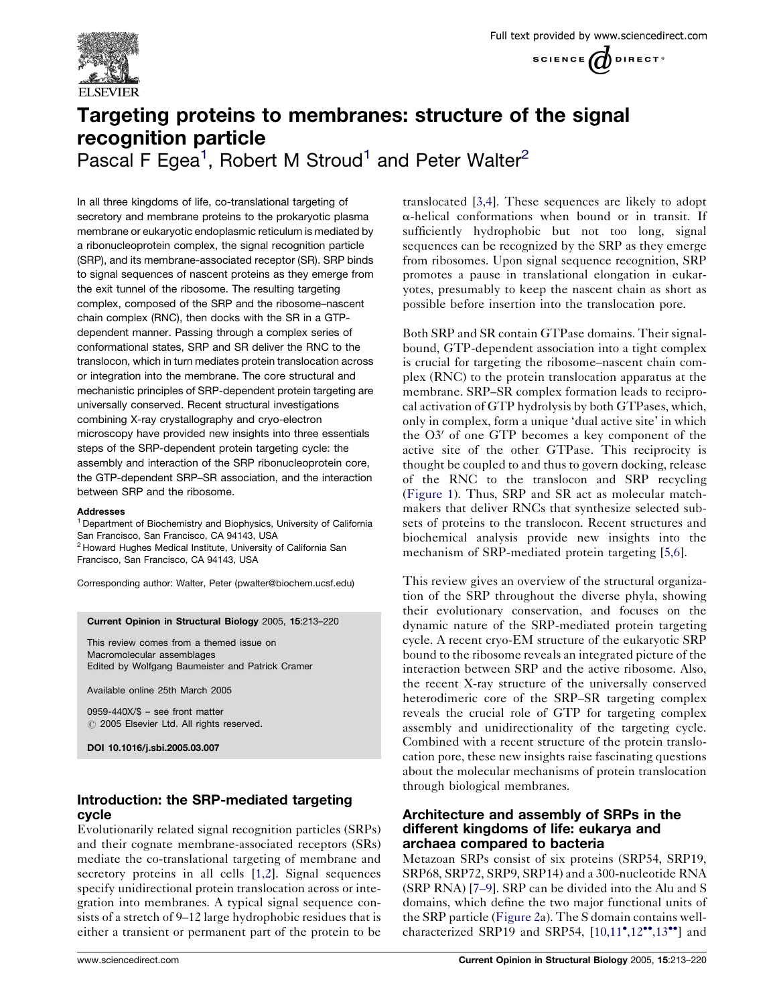

# Targeting proteins to membranes: structure of the signal recognition particle

Pascal F Egea<sup>1</sup>, Robert M Stroud<sup>1</sup> and Peter Walter<sup>2</sup>

In all three kingdoms of life, co-translational targeting of secretory and membrane proteins to the prokaryotic plasma membrane or eukaryotic endoplasmic reticulum is mediated by a ribonucleoprotein complex, the signal recognition particle (SRP), and its membrane-associated receptor (SR). SRP binds to signal sequences of nascent proteins as they emerge from the exit tunnel of the ribosome. The resulting targeting complex, composed of the SRP and the ribosome–nascent chain complex (RNC), then docks with the SR in a GTPdependent manner. Passing through a complex series of conformational states, SRP and SR deliver the RNC to the translocon, which in turn mediates protein translocation across or integration into the membrane. The core structural and mechanistic principles of SRP-dependent protein targeting are universally conserved. Recent structural investigations combining X-ray crystallography and cryo-electron microscopy have provided new insights into three essentials steps of the SRP-dependent protein targeting cycle: the assembly and interaction of the SRP ribonucleoprotein core, the GTP-dependent SRP–SR association, and the interaction between SRP and the ribosome.

### Addresses

<sup>1</sup> Department of Biochemistry and Biophysics, University of California San Francisco, San Francisco, CA 94143, USA <sup>2</sup> Howard Hughes Medical Institute, University of California San Francisco, San Francisco, CA 94143, USA

Corresponding author: Walter, Peter (pwalter@biochem.ucsf.edu)

#### Current Opinion in Structural Biology 2005, 15:213–220

This review comes from a themed issue on Macromolecular assemblages Edited by Wolfgang Baumeister and Patrick Cramer

Available online 25th March 2005

0959-440X/\$ – see front matter  $\odot$  2005 Elsevier Ltd. All rights reserved.

DOI 10.1016/j.sbi.2005.03.007

## Introduction: the SRP-mediated targeting cycle

Evolutionarily related signal recognition particles (SRPs) and their cognate membrane-associated receptors (SRs) mediate the co-translational targeting of membrane and secretory proteins in all cells [[1,2](#page-6-0)]. Signal sequences specify unidirectional protein translocation across or integration into membranes. A typical signal sequence consists of a stretch of 9–12 large hydrophobic residues that is either a transient or permanent part of the protein to be translocated [[3,4](#page-6-0)]. These sequences are likely to adopt  $\alpha$ -helical conformations when bound or in transit. If sufficiently hydrophobic but not too long, signal sequences can be recognized by the SRP as they emerge from ribosomes. Upon signal sequence recognition, SRP promotes a pause in translational elongation in eukaryotes, presumably to keep the nascent chain as short as possible before insertion into the translocation pore.

Both SRP and SR contain GTPase domains. Their signalbound, GTP-dependent association into a tight complex is crucial for targeting the ribosome–nascent chain complex (RNC) to the protein translocation apparatus at the membrane. SRP–SR complex formation leads to reciprocal activation of GTP hydrolysis by both GTPases, which, only in complex, form a unique 'dual active site' in which the  $O3'$  of one GTP becomes a key component of the active site of the other GTPase. This reciprocity is thought be coupled to and thus to govern docking, release of the RNC to the translocon and SRP recycling ([Figure 1\)](#page-1-0). Thus, SRP and SR act as molecular matchmakers that deliver RNCs that synthesize selected subsets of proteins to the translocon. Recent structures and biochemical analysis provide new insights into the mechanism of SRP-mediated protein targeting [[5,6](#page-6-0)].

This review gives an overview of the structural organization of the SRP throughout the diverse phyla, showing their evolutionary conservation, and focuses on the dynamic nature of the SRP-mediated protein targeting cycle. A recent cryo-EM structure of the eukaryotic SRP bound to the ribosome reveals an integrated picture of the interaction between SRP and the active ribosome. Also, the recent X-ray structure of the universally conserved heterodimeric core of the SRP–SR targeting complex reveals the crucial role of GTP for targeting complex assembly and unidirectionality of the targeting cycle. Combined with a recent structure of the protein translocation pore, these new insights raise fascinating questions about the molecular mechanisms of protein translocation through biological membranes.

## Architecture and assembly of SRPs in the different kingdoms of life: eukarya and archaea compared to bacteria

Metazoan SRPs consist of six proteins (SRP54, SRP19, SRP68, SRP72, SRP9, SRP14) and a 300-nucleotide RNA (SRP RNA) [[7–9\]](#page-6-0). SRP can be divided into the Alu and S domains, which define the two major functional units of the SRP particle ([Figure 2a](#page-2-0)). The S domain contains wellcharacterized SRP19 and SRP54,  $[10,11^\bullet, 12^{\bullet\bullet}, 13^{\bullet\bullet}]$  $[10,11^\bullet, 12^{\bullet\bullet}, 13^{\bullet\bullet}]$  and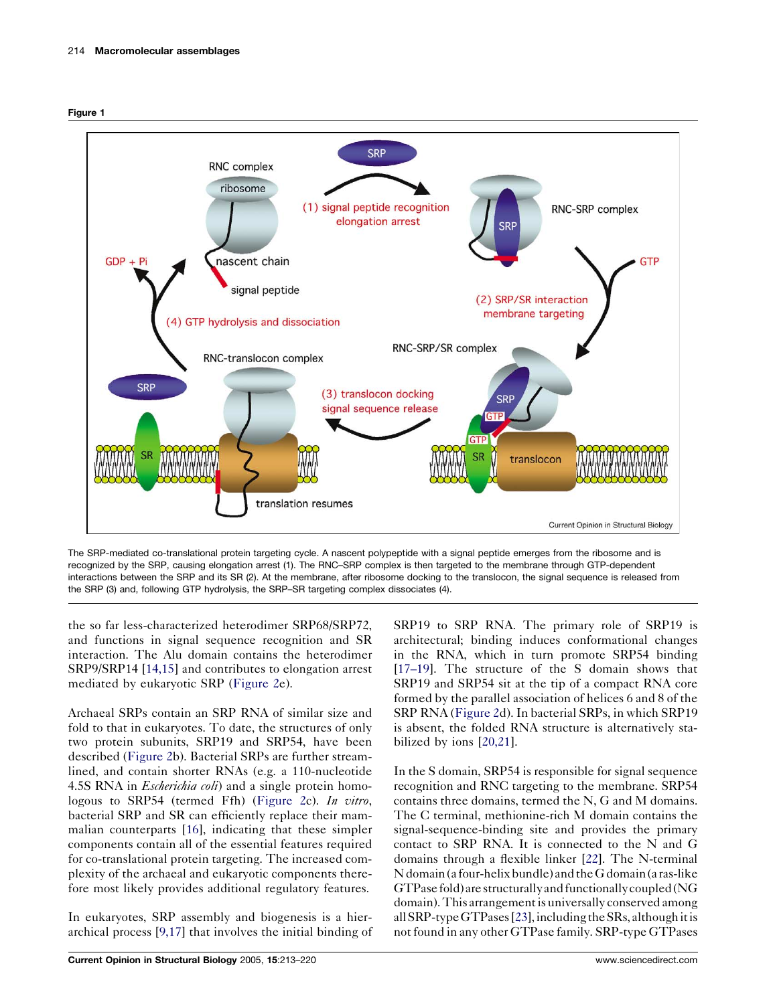<span id="page-1-0"></span>



The SRP-mediated co-translational protein targeting cycle. A nascent polypeptide with a signal peptide emerges from the ribosome and is recognized by the SRP, causing elongation arrest (1). The RNC–SRP complex is then targeted to the membrane through GTP-dependent interactions between the SRP and its SR (2). At the membrane, after ribosome docking to the translocon, the signal sequence is released from the SRP (3) and, following GTP hydrolysis, the SRP–SR targeting complex dissociates (4).

the so far less-characterized heterodimer SRP68/SRP72, and functions in signal sequence recognition and SR interaction. The Alu domain contains the heterodimer SRP9/SRP14 [\[14,15\]](#page-6-0) and contributes to elongation arrest mediated by eukaryotic SRP [\(Figure 2e](#page-2-0)).

Archaeal SRPs contain an SRP RNA of similar size and fold to that in eukaryotes. To date, the structures of only two protein subunits, SRP19 and SRP54, have been described ([Figure 2](#page-2-0)b). Bacterial SRPs are further streamlined, and contain shorter RNAs (e.g. a 110-nucleotide 4.5S RNA in *Escherichia coli*) and a single protein homo-logous to SRP54 (termed Ffh) ([Figure 2c](#page-2-0)). In vitro, bacterial SRP and SR can efficiently replace their mammalian counterparts [\[16](#page-6-0)], indicating that these simpler components contain all of the essential features required for co-translational protein targeting. The increased complexity of the archaeal and eukaryotic components therefore most likely provides additional regulatory features.

In eukaryotes, SRP assembly and biogenesis is a hierarchical process [[9,17](#page-6-0)] that involves the initial binding of

SRP19 to SRP RNA. The primary role of SRP19 is architectural; binding induces conformational changes in the RNA, which in turn promote SRP54 binding [\[17–19](#page-6-0)]. The structure of the S domain shows that SRP19 and SRP54 sit at the tip of a compact RNA core formed by the parallel association of helices 6 and 8 of the SRP RNA [\(Figure 2d](#page-2-0)). In bacterial SRPs, in which SRP19 is absent, the folded RNA structure is alternatively stabilized by ions [[20,21](#page-6-0)].

In the S domain, SRP54 is responsible for signal sequence recognition and RNC targeting to the membrane. SRP54 contains three domains, termed the N, G and M domains. The C terminal, methionine-rich M domain contains the signal-sequence-binding site and provides the primary contact to SRP RNA. It is connected to the N and G domains through a flexible linker [[22\]](#page-6-0). The N-terminal  $N$  domain (a four-helix bundle) and the G domain (a ras-like GTPasefold)arestructurallyandfunctionallycoupled(NG domain). This arrangement is universally conserved among all SRP-type GTPases [\[23\]](#page-6-0), including the SRs, although it is not found in any other GTPase family. SRP-type GTPases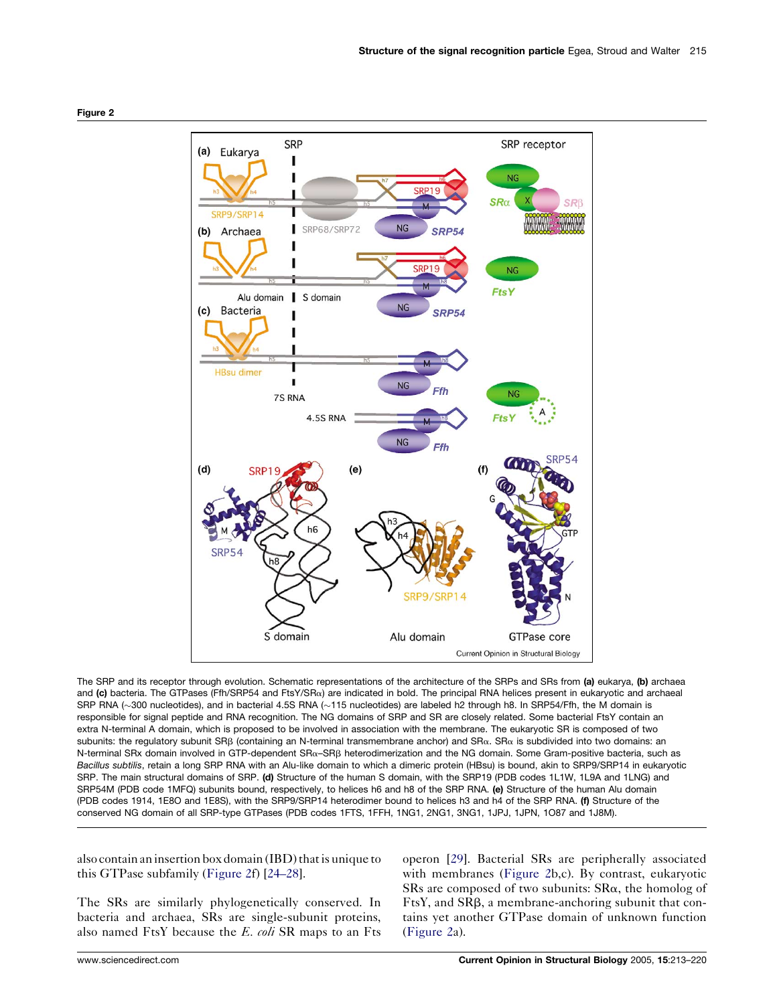<span id="page-2-0"></span>

The SRP and its receptor through evolution. Schematic representations of the architecture of the SRPs and SRs from (a) eukarya, (b) archaea and (c) bacteria. The GTPases (Ffh/SRP54 and FtsY/SR<sub>a</sub>) are indicated in bold. The principal RNA helices present in eukaryotic and archaeal SRP RNA (~300 nucleotides), and in bacterial 4.5S RNA (~115 nucleotides) are labeled h2 through h8. In SRP54/Ffh, the M domain is responsible for signal peptide and RNA recognition. The NG domains of SRP and SR are closely related. Some bacterial FtsY contain an extra N-terminal A domain, which is proposed to be involved in association with the membrane. The eukaryotic SR is composed of two subunits: the regulatory subunit SRB (containing an N-terminal transmembrane anchor) and SR $\alpha$ . SR $\alpha$  is subdivided into two domains: an N-terminal SRx domain involved in GTP-dependent SRa–SRb heterodimerization and the NG domain. Some Gram-positive bacteria, such as Bacillus subtilis, retain a long SRP RNA with an Alu-like domain to which a dimeric protein (HBsu) is bound, akin to SRP9/SRP14 in eukaryotic SRP. The main structural domains of SRP. (d) Structure of the human S domain, with the SRP19 (PDB codes 1L1W, 1L9A and 1LNG) and SRP54M (PDB code 1MFQ) subunits bound, respectively, to helices h6 and h8 of the SRP RNA. (e) Structure of the human Alu domain (PDB codes 1914, 1E8O and 1E8S), with the SRP9/SRP14 heterodimer bound to helices h3 and h4 of the SRP RNA. (f) Structure of the conserved NG domain of all SRP-type GTPases (PDB codes 1FTS, 1FFH, 1NG1, 2NG1, 3NG1, 1JPJ, 1JPN, 1O87 and 1J8M).

also contain an insertion box domain (IBD) that is unique to this GTPase subfamily (Figure 2f) [\[24–28\]](#page-6-0).

The SRs are similarly phylogenetically conserved. In bacteria and archaea, SRs are single-subunit proteins, also named FtsY because the  $E$ . coli SR maps to an Fts

operon [\[29](#page-7-0)]. Bacterial SRs are peripherally associated with membranes (Figure 2b,c). By contrast, eukaryotic SRs are composed of two subunits:  $S R\alpha$ , the homolog of FtsY, and SRB, a membrane-anchoring subunit that contains yet another GTPase domain of unknown function (Figure 2a).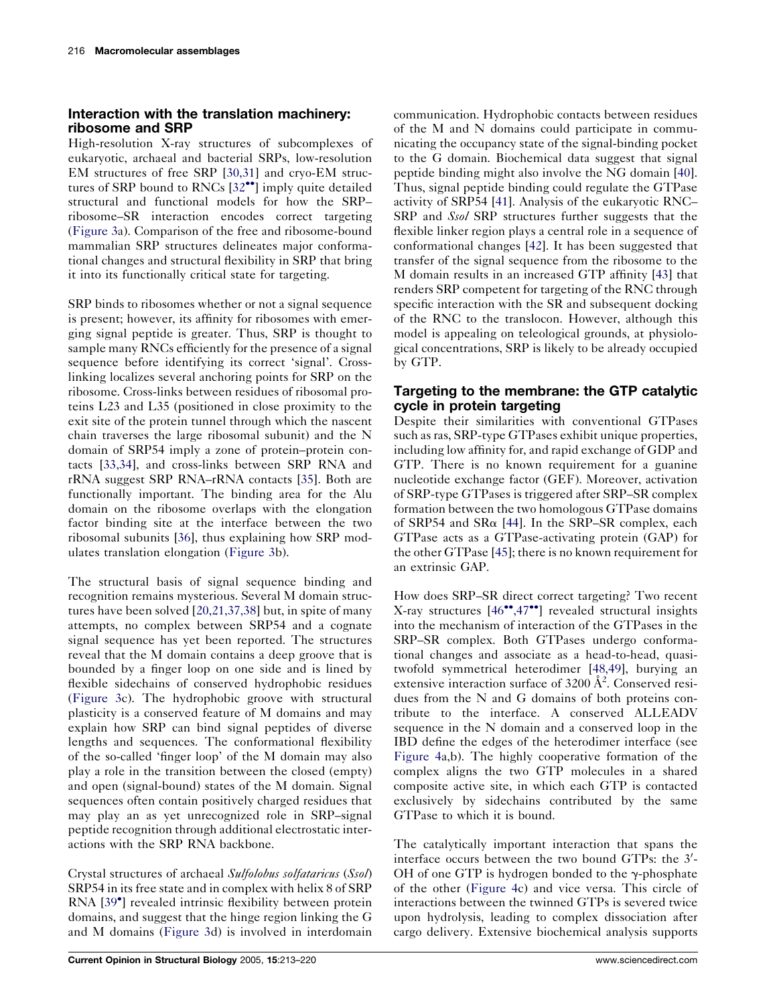# Interaction with the translation machinery: ribosome and SRP

High-resolution X-ray structures of subcomplexes of eukaryotic, archaeal and bacterial SRPs, low-resolution EM structures of free SRP [\[30,31\]](#page-7-0) and cryo-EM struc-tures of SRP bound to RNCs [[32](#page-7-0)<sup>•</sup>] imply quite detailed structural and functional models for how the SRP– ribosome–SR interaction encodes correct targeting [\(Figure 3](#page-4-0)a). Comparison of the free and ribosome-bound mammalian SRP structures delineates major conformational changes and structural flexibility in SRP that bring it into its functionally critical state for targeting.

SRP binds to ribosomes whether or not a signal sequence is present; however, its affinity for ribosomes with emerging signal peptide is greater. Thus, SRP is thought to sample many RNCs efficiently for the presence of a signal sequence before identifying its correct 'signal'. Crosslinking localizes several anchoring points for SRP on the ribosome. Cross-links between residues of ribosomal proteins L23 and L35 (positioned in close proximity to the exit site of the protein tunnel through which the nascent chain traverses the large ribosomal subunit) and the N domain of SRP54 imply a zone of protein–protein contacts [[33,34](#page-7-0)], and cross-links between SRP RNA and rRNA suggest SRP RNA–rRNA contacts [[35\]](#page-7-0). Both are functionally important. The binding area for the Alu domain on the ribosome overlaps with the elongation factor binding site at the interface between the two ribosomal subunits [[36\]](#page-7-0), thus explaining how SRP modulates translation elongation ([Figure 3](#page-4-0)b).

The structural basis of signal sequence binding and recognition remains mysterious. Several M domain structures have been solved [\[20,21,37,38\]](#page-6-0) but, in spite of many attempts, no complex between SRP54 and a cognate signal sequence has yet been reported. The structures reveal that the M domain contains a deep groove that is bounded by a finger loop on one side and is lined by flexible sidechains of conserved hydrophobic residues [\(Figure 3](#page-4-0)c). The hydrophobic groove with structural plasticity is a conserved feature of M domains and may explain how SRP can bind signal peptides of diverse lengths and sequences. The conformational flexibility of the so-called 'finger loop' of the M domain may also play a role in the transition between the closed (empty) and open (signal-bound) states of the M domain. Signal sequences often contain positively charged residues that may play an as yet unrecognized role in SRP–signal peptide recognition through additional electrostatic interactions with the SRP RNA backbone.

Crystal structures of archaeal Sulfolobus solfataricus (Ssol) SRP54 in its free state and in complex with helix 8 of SRP RNA [[39](#page-7-0)<sup>°</sup>] revealed intrinsic flexibility between protein domains, and suggest that the hinge region linking the G and M domains [\(Figure 3d](#page-4-0)) is involved in interdomain communication. Hydrophobic contacts between residues of the M and N domains could participate in communicating the occupancy state of the signal-binding pocket to the G domain. Biochemical data suggest that signal peptide binding might also involve the NG domain [[40](#page-7-0)]. Thus, signal peptide binding could regulate the GTPase activity of SRP54 [[41\]](#page-7-0). Analysis of the eukaryotic RNC– SRP and Ssol SRP structures further suggests that the flexible linker region plays a central role in a sequence of conformational changes [\[42](#page-7-0)]. It has been suggested that transfer of the signal sequence from the ribosome to the M domain results in an increased GTP affinity [\[43](#page-7-0)] that renders SRP competent for targeting of the RNC through specific interaction with the SR and subsequent docking of the RNC to the translocon. However, although this model is appealing on teleological grounds, at physiological concentrations, SRP is likely to be already occupied by GTP.

# Targeting to the membrane: the GTP catalytic cycle in protein targeting

Despite their similarities with conventional GTPases such as ras, SRP-type GTPases exhibit unique properties, including low affinity for, and rapid exchange of GDP and GTP. There is no known requirement for a guanine nucleotide exchange factor (GEF). Moreover, activation of SRP-type GTPases is triggered after SRP–SR complex formation between the two homologous GTPase domains of SRP54 and SR $\alpha$  [\[44](#page-7-0)]. In the SRP–SR complex, each GTPase acts as a GTPase-activating protein (GAP) for the other GTPase [\[45](#page-7-0)]; there is no known requirement for an extrinsic GAP.

How does SRP–SR direct correct targeting? Two recent X-ray structures [\[46](#page-7-0)<sup>\*</sup>[,47](#page-7-0)<sup>\*</sup>] revealed structural insights into the mechanism of interaction of the GTPases in the SRP–SR complex. Both GTPases undergo conformational changes and associate as a head-to-head, quasitwofold symmetrical heterodimer [\[48,49\]](#page-7-0), burying an extensive interaction surface of  $3200 \text{ Å}^2$ . Conserved residues from the N and G domains of both proteins contribute to the interface. A conserved ALLEADV sequence in the N domain and a conserved loop in the IBD define the edges of the heterodimer interface (see [Figure 4a](#page-5-0),b). The highly cooperative formation of the complex aligns the two GTP molecules in a shared composite active site, in which each GTP is contacted exclusively by sidechains contributed by the same GTPase to which it is bound.

The catalytically important interaction that spans the interface occurs between the two bound GTPs: the 3'-OH of one GTP is hydrogen bonded to the  $\gamma$ -phosphate of the other ([Figure 4](#page-5-0)c) and vice versa. This circle of interactions between the twinned GTPs is severed twice upon hydrolysis, leading to complex dissociation after cargo delivery. Extensive biochemical analysis supports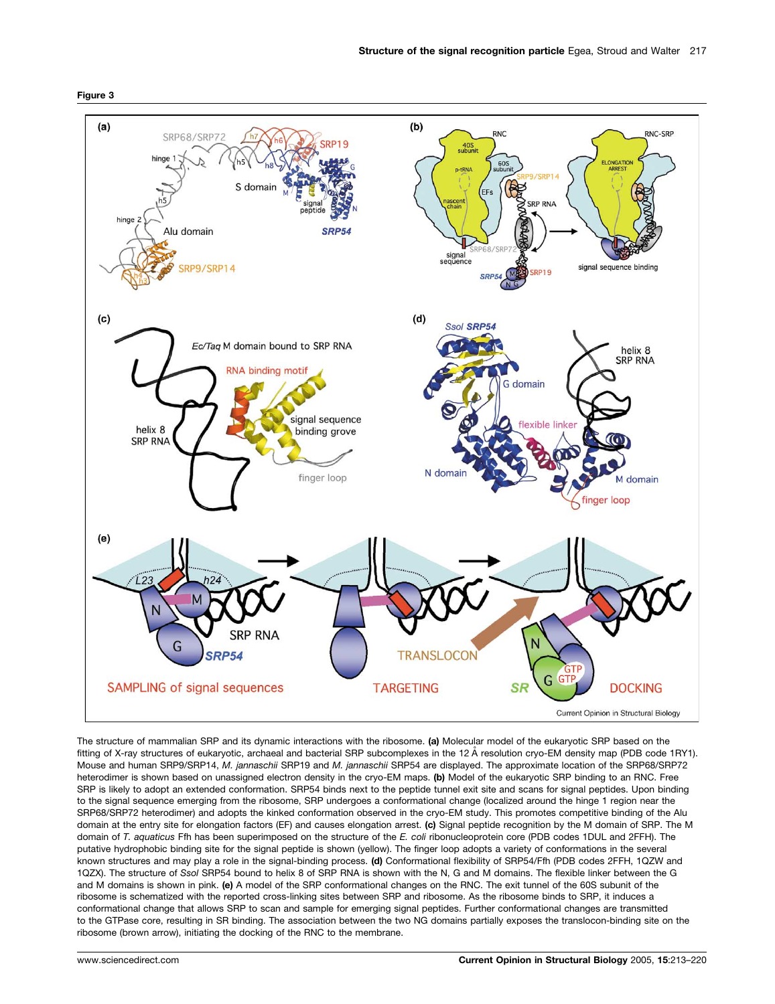<span id="page-4-0"></span>



The structure of mammalian SRP and its dynamic interactions with the ribosome. (a) Molecular model of the eukaryotic SRP based on the fitting of X-ray structures of eukaryotic, archaeal and bacterial SRP subcomplexes in the 12 Å resolution cryo-EM density map (PDB code 1RY1). Mouse and human SRP9/SRP14, M. jannaschii SRP19 and M. jannaschii SRP54 are displayed. The approximate location of the SRP68/SRP72 heterodimer is shown based on unassigned electron density in the cryo-EM maps. (b) Model of the eukaryotic SRP binding to an RNC. Free SRP is likely to adopt an extended conformation. SRP54 binds next to the peptide tunnel exit site and scans for signal peptides. Upon binding to the signal sequence emerging from the ribosome, SRP undergoes a conformational change (localized around the hinge 1 region near the SRP68/SRP72 heterodimer) and adopts the kinked conformation observed in the cryo-EM study. This promotes competitive binding of the Alu domain at the entry site for elongation factors (EF) and causes elongation arrest. (c) Signal peptide recognition by the M domain of SRP. The M domain of T. aquaticus Ffh has been superimposed on the structure of the E. coli ribonucleoprotein core (PDB codes 1DUL and 2FFH). The putative hydrophobic binding site for the signal peptide is shown (yellow). The finger loop adopts a variety of conformations in the several known structures and may play a role in the signal-binding process. (d) Conformational flexibility of SRP54/Ffh (PDB codes 2FFH, 1QZW and 1QZX). The structure of Ssol SRP54 bound to helix 8 of SRP RNA is shown with the N, G and M domains. The flexible linker between the G and M domains is shown in pink. (e) A model of the SRP conformational changes on the RNC. The exit tunnel of the 60S subunit of the ribosome is schematized with the reported cross-linking sites between SRP and ribosome. As the ribosome binds to SRP, it induces a conformational change that allows SRP to scan and sample for emerging signal peptides. Further conformational changes are transmitted to the GTPase core, resulting in SR binding. The association between the two NG domains partially exposes the translocon-binding site on the ribosome (brown arrow), initiating the docking of the RNC to the membrane.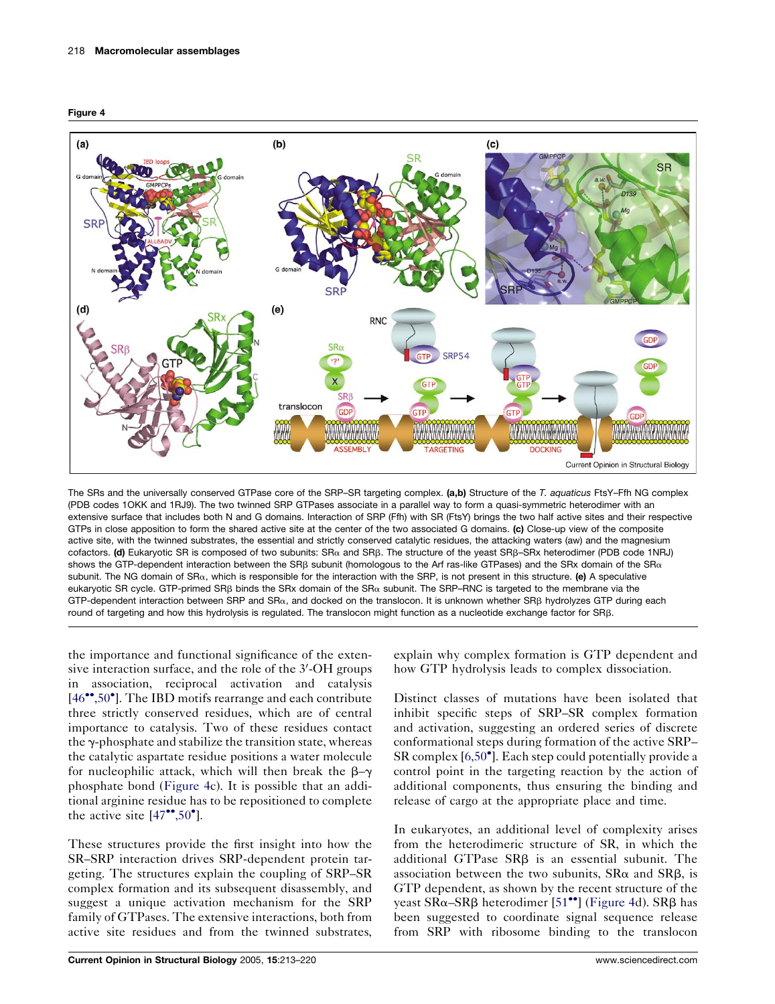<span id="page-5-0"></span>



The SRs and the universally conserved GTPase core of the SRP–SR targeting complex. (a.b) Structure of the T. aquaticus FtsY–Ffh NG complex (PDB codes 1OKK and 1RJ9). The two twinned SRP GTPases associate in a parallel way to form a quasi-symmetric heterodimer with an extensive surface that includes both N and G domains. Interaction of SRP (Ffh) with SR (FtsY) brings the two half active sites and their respective GTPs in close apposition to form the shared active site at the center of the two associated G domains. (c) Close-up view of the composite active site, with the twinned substrates, the essential and strictly conserved catalytic residues, the attacking waters (aw) and the magnesium cofactors. (d) Eukaryotic SR is composed of two subunits: SRα and SRβ. The structure of the yeast SRβ-SRx heterodimer (PDB code 1NRJ) shows the GTP-dependent interaction between the SRB subunit (homologous to the Arf ras-like GTPases) and the SRx domain of the SR $\alpha$ subunit. The NG domain of SR $\alpha$ , which is responsible for the interaction with the SRP, is not present in this structure. (e) A speculative eukaryotic SR cycle. GTP-primed SR<sub>B</sub> binds the SRx domain of the SR<sub>a</sub> subunit. The SRP–RNC is targeted to the membrane via the GTP-dependent interaction between SRP and SR $\alpha$ , and docked on the translocon. It is unknown whether SRB hydrolyzes GTP during each round of targeting and how this hydrolysis is regulated. The translocon might function as a nucleotide exchange factor for SRb.

the importance and functional significance of the extensive interaction surface, and the role of the 3'-OH groups in association, reciprocal activation and catalysis [\[46](#page-7-0)\*[,50](#page-7-0)°]. The IBD motifs rearrange and each contribute three strictly conserved residues, which are of central importance to catalysis. Two of these residues contact the  $\gamma$ -phosphate and stabilize the transition state, whereas the catalytic aspartate residue positions a water molecule for nucleophilic attack, which will then break the  $\beta-\gamma$ phosphate bond (Figure 4c). It is possible that an additional arginine residue has to be repositioned to complete the active site  $[47$ <sup>\*\*</sup>[,50](#page-7-0)<sup>\*</sup>].

These structures provide the first insight into how the SR–SRP interaction drives SRP-dependent protein targeting. The structures explain the coupling of SRP–SR complex formation and its subsequent disassembly, and suggest a unique activation mechanism for the SRP family of GTPases. The extensive interactions, both from active site residues and from the twinned substrates, explain why complex formation is GTP dependent and how GTP hydrolysis leads to complex dissociation.

Distinct classes of mutations have been isolated that inhibit specific steps of SRP–SR complex formation and activation, suggesting an ordered series of discrete conformational steps during formation of the active SRP– SR complex [\[6,50](#page-6-0)<sup>°</sup>]. Each step could potentially provide a control point in the targeting reaction by the action of additional components, thus ensuring the binding and release of cargo at the appropriate place and time.

In eukaryotes, an additional level of complexity arises from the heterodimeric structure of SR, in which the additional GTPase SRB is an essential subunit. The association between the two subunits,  $S R\alpha$  and  $S R\beta$ , is GTP dependent, as shown by the recent structure of the yeast  $SR\alpha$ – $SR\beta$  heterodimer [\[51](#page-7-0)<sup>••</sup>] (Figure 4d).  $SR\beta$  has been suggested to coordinate signal sequence release from SRP with ribosome binding to the translocon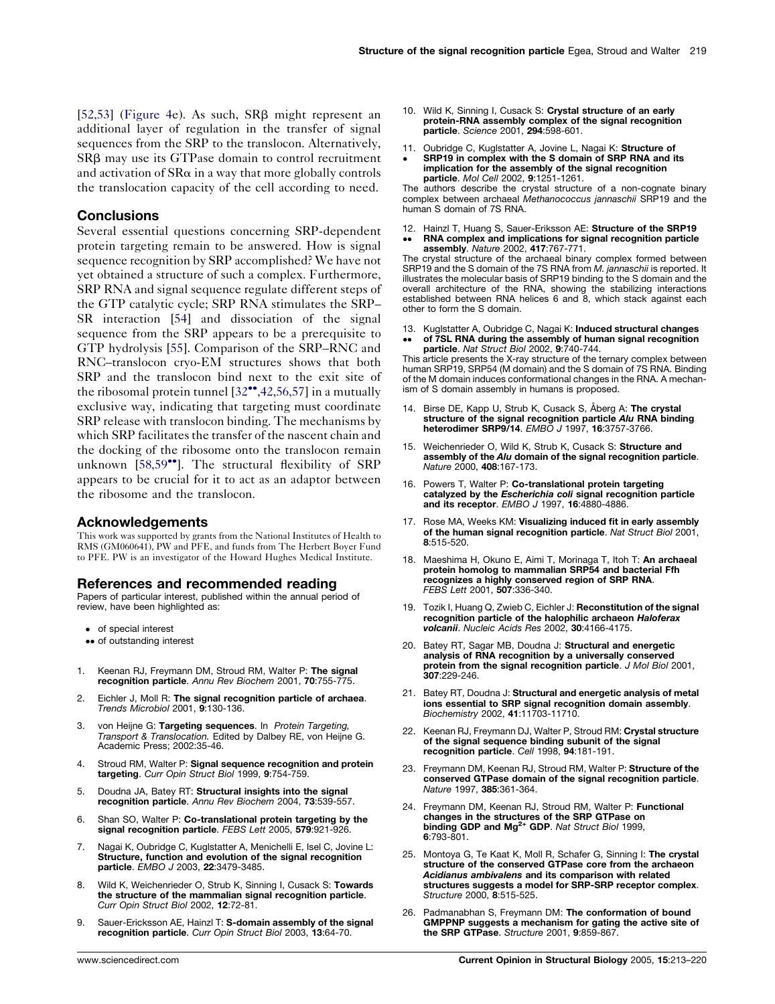<span id="page-6-0"></span>[\[52,53\]](#page-7-0) [\(Figure 4](#page-5-0)e). As such,  $SR\beta$  might represent an additional layer of regulation in the transfer of signal sequences from the SRP to the translocon. Alternatively, SRB may use its GTPase domain to control recruitment and activation of  $SR\alpha$  in a way that more globally controls the translocation capacity of the cell according to need.

## **Conclusions**

Several essential questions concerning SRP-dependent protein targeting remain to be answered. How is signal sequence recognition by SRP accomplished? We have not yet obtained a structure of such a complex. Furthermore, SRP RNA and signal sequence regulate different steps of the GTP catalytic cycle; SRP RNA stimulates the SRP– SR interaction [[54\]](#page-7-0) and dissociation of the signal sequence from the SRP appears to be a prerequisite to GTP hydrolysis [[55\]](#page-7-0). Comparison of the SRP–RNC and RNC–translocon cryo-EM structures shows that both SRP and the translocon bind next to the exit site of the ribosomal protein tunnel  $[32^{\bullet\bullet}, 42, 56, 57]$  $[32^{\bullet\bullet}, 42, 56, 57]$  $[32^{\bullet\bullet}, 42, 56, 57]$  in a mutually exclusive way, indicating that targeting must coordinate SRP release with translocon binding. The mechanisms by which SRP facilitates the transfer of the nascent chain and the docking of the ribosome onto the translocon remain unknown [[58,59](#page-7-0)<sup>\*</sup>]. The structural flexibility of SRP appears to be crucial for it to act as an adaptor between the ribosome and the translocon.

#### Acknowledgements

This work was supported by grants from the National Institutes of Health to RMS (GM060641), PW and PFE, and funds from The Herbert Boyer Fund to PFE. PW is an investigator of the Howard Hughes Medical Institute.

## References and recommended reading

Papers of particular interest, published within the annual period of review, have been highlighted as:

- of special interest
- •• of outstanding interest
- 1. Keenan RJ, Freymann DM, Stroud RM, Walter P: The signal recognition particle. Annu Rev Biochem 2001, 70:755-775.
- 2. Eichler J, Moll R: The signal recognition particle of archaea. Trends Microbiol 2001, 9:130-136.
- 3. von Heijne G: Targeting sequences. In Protein Targeting, Transport & Translocation. Edited by Dalbey RE, von Heijne G. Academic Press; 2002:35-46.
- 4. Stroud RM, Walter P: Signal sequence recognition and protein targeting. Curr Opin Struct Biol 1999, 9:754-759.
- 5. Doudna JA, Batey RT: Structural insights into the signal recognition particle. Annu Rev Biochem 2004, 73:539-557.
- 6. Shan SO, Walter P: Co-translational protein targeting by the signal recognition particle. FEBS Lett 2005, 579:921-926
- 7. Nagai K, Oubridge C, Kuglstatter A, Menichelli E, Isel C, Jovine L: Structure, function and evolution of the signal recognition particle. EMBO J 2003, 22:3479-3485.
- 8. Wild K, Weichenrieder O, Strub K, Sinning I, Cusack S: Towards the structure of the mammalian signal recognition particle. Curr Opin Struct Biol 2002, 12:72-81.
- Sauer-Ericksson AE, Hainzl T: S-domain assembly of the signal recognition particle. Curr Opin Struct Biol 2003, 13:64-70.
- 10. Wild K, Sinning I, Cusack S: Crystal structure of an early protein-RNA assembly complex of the signal recognition particle. Science 2001, 294:598-601.
- 11. Oubridge C, Kuglstatter A, Jovine L, Nagai K: Structure of  $\bullet$ SRP19 in complex with the S domain of SRP RNA and its implication for the assembly of the signal recognition particle. Mol Cell 2002, 9:1251-1261.

The authors describe the crystal structure of a non-cognate binary<br>complex between archaeal Methanococcus jannaschii SRP19 and the human S domain of 7S RNA.

12. Hainzl T, Huang S, Sauer-Eriksson AE: Structure of the SRP19  $\bullet$  $\bullet$ RNA complex and implications for signal recognition particle assembly. Nature 2002, 417:767-771.

The crystal structure of the archaeal binary complex formed between SRP19 and the S domain of the 7S RNA from *M. jannaschii* is reported. It illustrates the molecular basis of SRP19 binding to the S domain and the overall architecture of the RNA, showing the stabilizing interactions established between RNA helices 6 and 8, which stack against each other to form the S domain.

- 13. Kuglstatter A, Oubridge C, Nagai K: Induced structural changes
- $\bullet$  $\bullet$ of 7SL RNA during the assembly of human signal recognition<br>particle. *Nat Struct Biol* 2002, 9:740-744.

This article presents the X-ray structure of the ternary complex between human SRP19, SRP54 (M domain) and the S domain of 7S RNA. Binding of the M domain induces conformational changes in the RNA. A mechanism of S domain assembly in humans is proposed.

- 14. Birse DE, Kapp U, Strub K, Cusack S, Åberg A: The crystal structure of the signal recognition particle Alu RNA binding heterodimer SRP9/14. EMBO J 1997, 16:3757-3766.
- 15. Weichenrieder O, Wild K, Strub K, Cusack S: Structure and assembly of the Alu domain of the signal recognition particle. Nature 2000, 408:167-173.
- 16. Powers T, Walter P: Co-translational protein targeting catalyzed by the Escherichia coli signal recognition particle and its receptor. EMBO J 1997, 16:4880-4886.
- 17. Rose MA, Weeks KM: Visualizing induced fit in early assembly of the human signal recognition particle. Nat Struct Biol 2001, 8:515-520.
- 18. Maeshima H, Okuno E, Aimi T, Morinaga T, Itoh T: An archaeal protein homolog to mammalian SRP54 and bacterial Ffh recognizes a highly conserved region of SRP RNA. FEBS Lett 2001, 507:336-340.
- 19. Tozik I, Huang Q, Zwieb C, Eichler J: Reconstitution of the signal recognition particle of the halophilic archaeon Haloferax volcanii. Nucleic Acids Res 2002, 30:4166-4175.
- 20. Batey RT, Sagar MB, Doudna J: Structural and energetic analysis of RNA recognition by a universally conserved **protein from the signal recognition particle**. *J Mol Biol* 2001,<br>**307**:229-246.
- 21. Batey RT, Doudna J: Structural and energetic analysis of metal ions essential to SRP signal recognition domain assembly. Biochemistry 2002, 41:11703-11710.
- 22. Keenan RJ, Freymann DJ, Walter P, Stroud RM: Crystal structure of the signal sequence binding subunit of the signal recognition particle. Cell 1998, 94:181-191.
- 23. Freymann DM, Keenan RJ, Stroud RM, Walter P: Structure of the conserved GTPase domain of the signal recognition particle. Nature 1997, 385:361-364.
- 24. Freymann DM, Keenan RJ, Stroud RM, Walter P: Functional changes in the structures of the SRP GTPase on binding GDP and Mg<sup>2+</sup> GDP. Nat Struct Biol 1999, 6:793-801.
- 25. Montoya G, Te Kaat K, Moll R, Schafer G, Sinning I: The crystal structure of the conserved GTPase core from the archaeon Acidianus ambivalens and its comparison with related structures suggests a model for SRP-SRP receptor complex. Structure 2000, 8:515-525.
- 26. Padmanabhan S, Freymann DM: The conformation of bound GMPPNP suggests a mechanism for gating the active site of the SRP GTPase. Structure 2001, 9:859-867